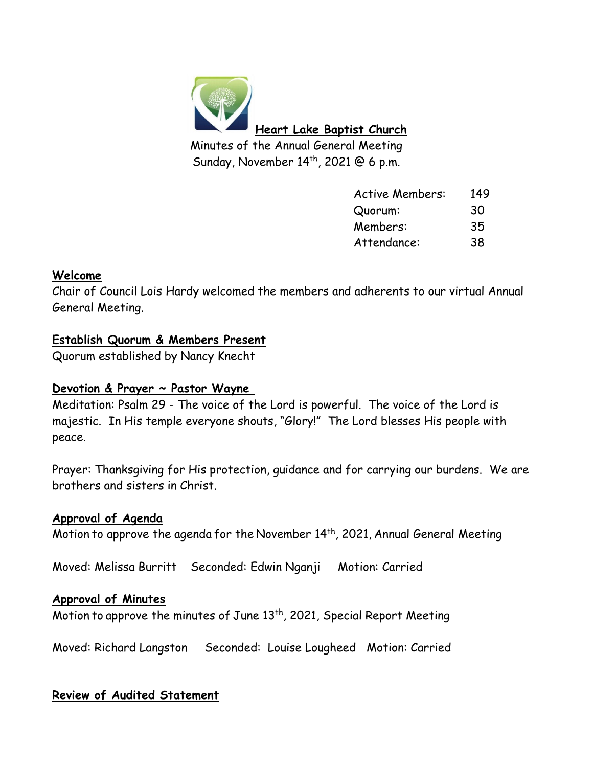

| <b>Active Members:</b> | 149 |
|------------------------|-----|
| Quorum:                | 30  |
| Members:               | 35  |
| Attendance:            | 38  |
|                        |     |

### **Welcome**

Chair of Council Lois Hardy welcomed the members and adherents to our virtual Annual General Meeting.

### **Establish Quorum & Members Present**

Quorum established by Nancy Knecht

### **Devotion & Prayer ~ Pastor Wayne**

Meditation: Psalm 29 - The voice of the Lord is powerful. The voice of the Lord is majestic. In His temple everyone shouts, "Glory!" The Lord blesses His people with peace.

Prayer: Thanksgiving for His protection, guidance and for carrying our burdens. We are brothers and sisters in Christ.

### **Approval of Agenda**

Motion to approve the agenda for the November  $14<sup>th</sup>$ , 2021, Annual General Meeting

Moved: Melissa Burritt Seconded: Edwin Nganji Motion: Carried

### **Approval of Minutes**

Motion to approve the minutes of June 13<sup>th</sup>, 2021, Special Report Meeting

Moved: Richard Langston Seconded: Louise Lougheed Motion: Carried

### **Review of Audited Statement**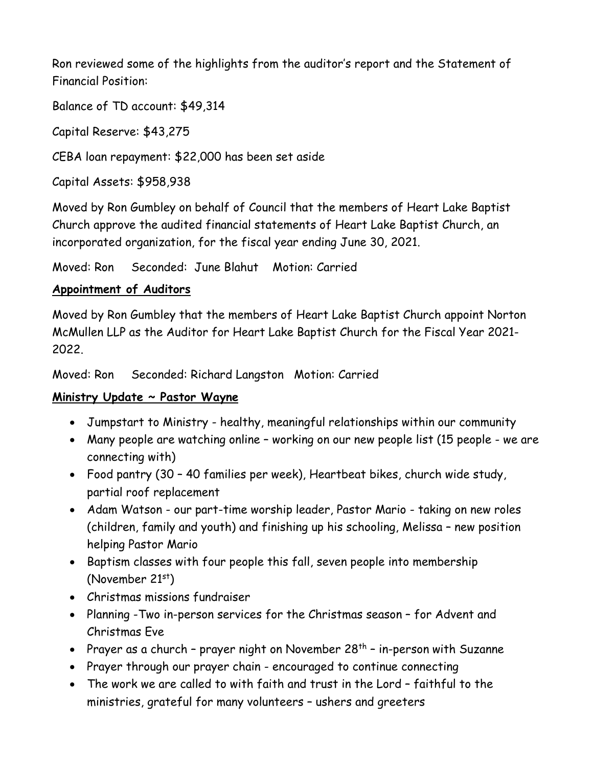Ron reviewed some of the highlights from the auditor's report and the Statement of Financial Position:

Balance of TD account: \$49,314

Capital Reserve: \$43,275

CEBA loan repayment: \$22,000 has been set aside

Capital Assets: \$958,938

Moved by Ron Gumbley on behalf of Council that the members of Heart Lake Baptist Church approve the audited financial statements of Heart Lake Baptist Church, an incorporated organization, for the fiscal year ending June 30, 2021.

Moved: Ron Seconded: June Blahut Motion: Carried

### **Appointment of Auditors**

Moved by Ron Gumbley that the members of Heart Lake Baptist Church appoint Norton McMullen LLP as the Auditor for Heart Lake Baptist Church for the Fiscal Year 2021- 2022.

Moved: Ron Seconded: Richard Langston Motion: Carried

## **Ministry Update ~ Pastor Wayne**

- Jumpstart to Ministry healthy, meaningful relationships within our community
- Many people are watching online working on our new people list (15 people we are connecting with)
- Food pantry (30 40 families per week), Heartbeat bikes, church wide study, partial roof replacement
- Adam Watson our part-time worship leader, Pastor Mario taking on new roles (children, family and youth) and finishing up his schooling, Melissa – new position helping Pastor Mario
- Baptism classes with four people this fall, seven people into membership (November 21st)
- Christmas missions fundraiser
- Planning -Two in-person services for the Christmas season for Advent and Christmas Eve
- Prayer as a church prayer night on November  $28<sup>th</sup>$  in-person with Suzanne
- Prayer through our prayer chain encouraged to continue connecting
- The work we are called to with faith and trust in the Lord faithful to the ministries, grateful for many volunteers – ushers and greeters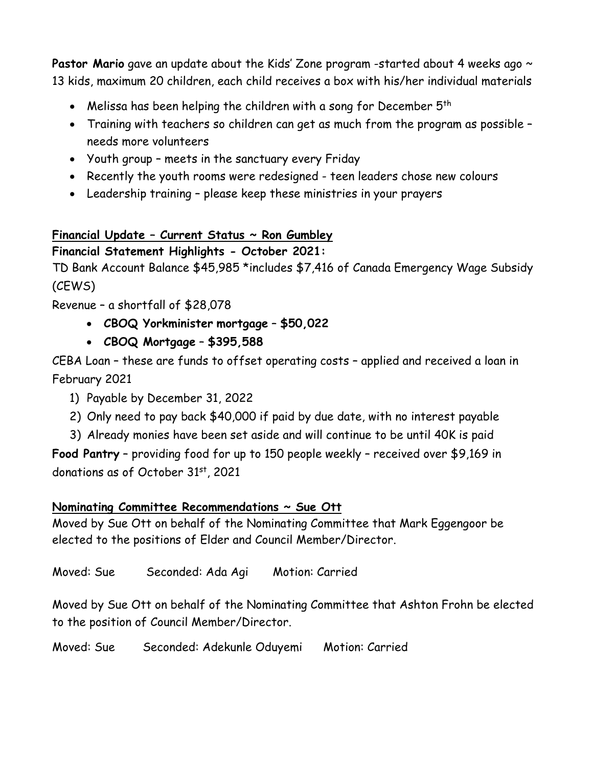Pastor Mario gave an update about the Kids' Zone program -started about 4 weeks ago ~ 13 kids, maximum 20 children, each child receives a box with his/her individual materials

- Melissa has been helping the children with a song for December 5<sup>th</sup>
- Training with teachers so children can get as much from the program as possible needs more volunteers
- Youth group meets in the sanctuary every Friday
- Recently the youth rooms were redesigned teen leaders chose new colours
- Leadership training please keep these ministries in your prayers

# **Financial Update – Current Status ~ Ron Gumbley**

# **Financial Statement Highlights - October 2021:**

TD Bank Account Balance \$45,985 \*includes \$7,416 of Canada Emergency Wage Subsidy (CEWS)

Revenue – a shortfall of \$28,078

- **CBOQ Yorkminister mortgage \$50,022**
- **CBOQ Mortgage \$395,588**

CEBA Loan – these are funds to offset operating costs – applied and received a loan in February 2021

- 1) Payable by December 31, 2022
- 2) Only need to pay back \$40,000 if paid by due date, with no interest payable
- 3) Already monies have been set aside and will continue to be until 40K is paid

**Food Pantry** – providing food for up to 150 people weekly – received over \$9,169 in donations as of October 31<sup>st</sup>, 2021

## **Nominating Committee Recommendations ~ Sue Ott**

Moved by Sue Ott on behalf of the Nominating Committee that Mark Eggengoor be elected to the positions of Elder and Council Member/Director.

Moved: Sue Seconded: Ada Agi Motion: Carried

Moved by Sue Ott on behalf of the Nominating Committee that Ashton Frohn be elected to the position of Council Member/Director.

Moved: Sue Seconded: Adekunle Oduyemi Motion: Carried